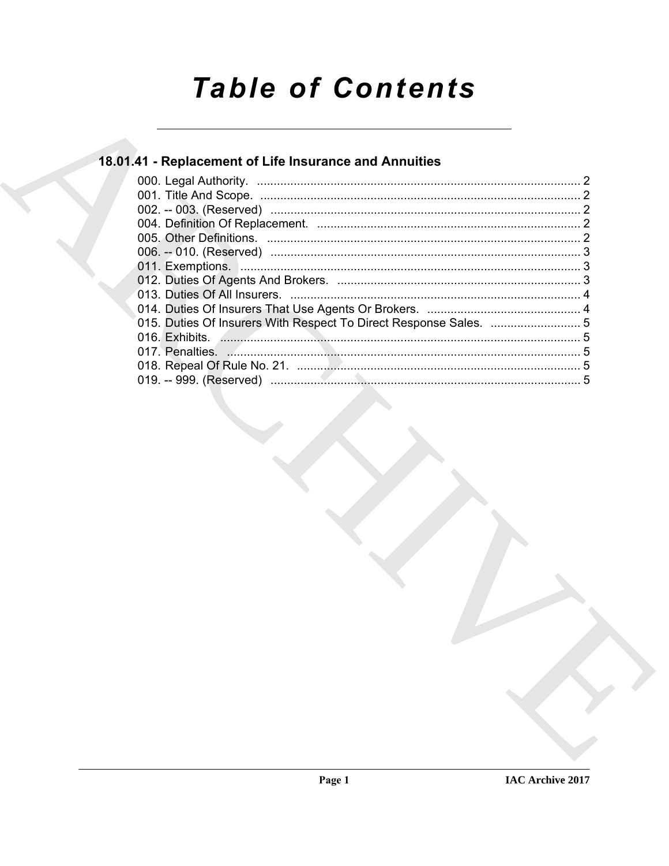# **Table of Contents**

## 18.01.41 - Replacement of Life Insurance and Annuities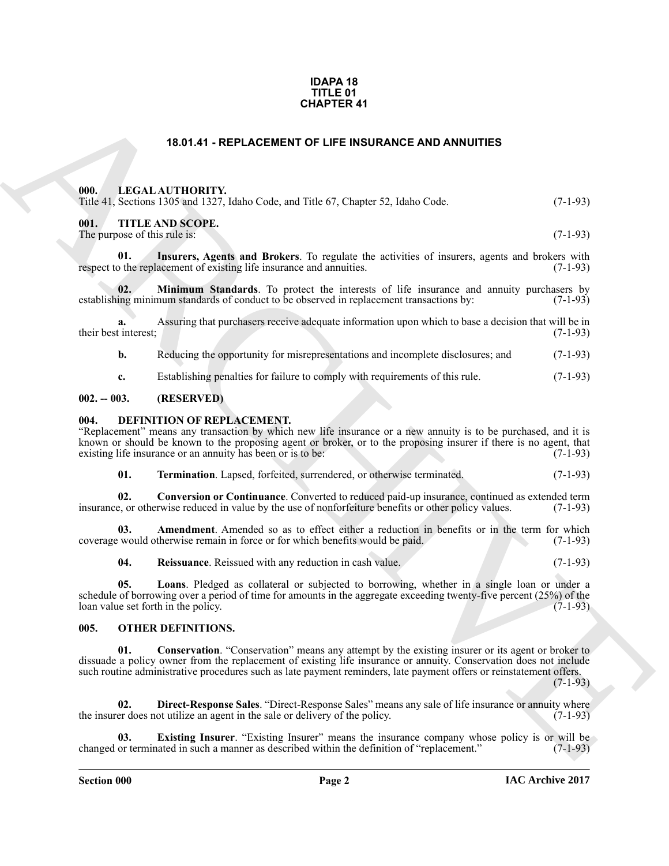### **IDAPA 18 TITLE 01 CHAPTER 41**

## **18.01.41 - REPLACEMENT OF LIFE INSURANCE AND ANNUITIES**

## <span id="page-1-1"></span><span id="page-1-0"></span>**000. LEGAL AUTHORITY.**

|  |  | Title 41, Sections 1305 and 1327, Idaho Code, and Title 67, Chapter 52, Idaho Code. | $(7-1-93)$ |
|--|--|-------------------------------------------------------------------------------------|------------|
|  |  |                                                                                     |            |

## <span id="page-1-2"></span>**001. TITLE AND SCOPE.**

<span id="page-1-16"></span>The purpose of this rule is: (7-1-93)

**01. Insurers, Agents and Brokers**. To regulate the activities of insurers, agents and brokers with the replacement of existing life insurance and annuities. (7-1-93) respect to the replacement of existing life insurance and annuities.

<span id="page-1-17"></span>**02. Minimum Standards**. To protect the interests of life insurance and annuity purchasers by ing minimum standards of conduct to be observed in replacement transactions by: (7-1-93) establishing minimum standards of conduct to be observed in replacement transactions by:

**a.** Assuring that purchasers receive adequate information upon which to base a decision that will be in tinterest; (7-1-93) their best interest:

**b.** Reducing the opportunity for misrepresentations and incomplete disclosures; and  $(7-1-93)$ 

<span id="page-1-6"></span>**c.** Establishing penalties for failure to comply with requirements of this rule. (7-1-93)

### <span id="page-1-3"></span>**002. -- 003. (RESERVED)**

### <span id="page-1-4"></span>**004. DEFINITION OF REPLACEMENT.**

"Replacement" means any transaction by which new life insurance or a new annuity is to be purchased, and it is known or should be known to the proposing agent or broker, or to the proposing insurer if there is no agent, that existing life insurance or an annuity has been or is to be: (7-1-93)

<span id="page-1-14"></span><span id="page-1-9"></span>**01. Termination**. Lapsed, forfeited, surrendered, or otherwise terminated. (7-1-93)

**02. Conversion or Continuance**. Converted to reduced paid-up insurance, continued as extended term insurance, or otherwise reduced in value by the use of nonforfeiture benefits or other policy values. (7-1-93)

**03.** Amendment. Amended so as to effect either a reduction in benefits or in the term for which would otherwise remain in force or for which benefits would be paid. (7-1-93) coverage would otherwise remain in force or for which benefits would be paid.

<span id="page-1-13"></span><span id="page-1-12"></span><span id="page-1-7"></span>**04. Reissuance**. Reissued with any reduction in cash value. (7-1-93)

**05. Loans**. Pledged as collateral or subjected to borrowing, whether in a single loan or under a schedule of borrowing over a period of time for amounts in the aggregate exceeding twenty-five percent  $(25%)$  of the loan value set forth in the policy.  $(7-1-93)$ loan value set forth in the policy.

## <span id="page-1-15"></span><span id="page-1-8"></span><span id="page-1-5"></span>**005. OTHER DEFINITIONS.**

**EGAL ALTHORITY:** Hater LAGE AND ARCHIVES (THE INSURANCE AND ARRUITES (19).<br>
THE 1 LEGAL ALTHORITY: Hater Columb The 57. Chapter 52. Edito Cole. (7.1.93)<br>
THE 1 THE ARCHIVES (SOMETHE THE SURVEY ARE COLUMB THE SURVEY ARE C **01. Conservation**. "Conservation" means any attempt by the existing insurer or its agent or broker to dissuade a policy owner from the replacement of existing life insurance or annuity. Conservation does not include such routine administrative procedures such as late payment reminders, late payment offers or reinstatement offers.

 $(7-1-93)$ 

<span id="page-1-10"></span>**02. Direct-Response Sales**. "Direct-Response Sales" means any sale of life insurance or annuity where er does not utilize an agent in the sale or delivery of the policy. (7-1-93) the insurer does not utilize an agent in the sale or delivery of the policy.

<span id="page-1-11"></span>**Existing Insurer**. "Existing Insurer" means the insurance company whose policy is or will be aated in such a manner as described within the definition of "replacement." (7-1-93) changed or terminated in such a manner as described within the definition of "replacement."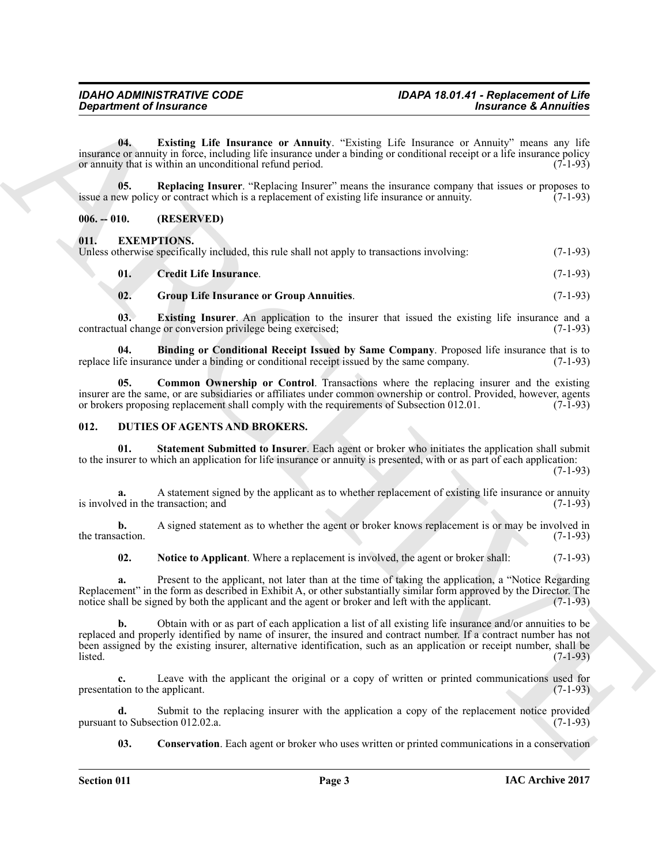<span id="page-2-3"></span>**04. Existing Life Insurance or Annuity**. "Existing Life Insurance or Annuity" means any life insurance or annuity in force, including life insurance under a binding or conditional receipt or a life insurance policy<br>or annuity that is within an unconditional refund period. (7-1-93) or annuity that is within an unconditional refund period.

<span id="page-2-4"></span>**05. Replacing Insurer**. "Replacing Insurer" means the insurance company that issues or proposes to ew policy or contract which is a replacement of existing life insurance or annuity. (7-1-93) issue a new policy or contract which is a replacement of existing life insurance or annuity.

## <span id="page-2-0"></span>**006. -- 010. (RESERVED)**

## <span id="page-2-9"></span><span id="page-2-1"></span>**011. EXEMPTIONS.**

| Unless otherwise specifically included, this rule shall not apply to transactions involving: |  | $(7-1-93)$ |
|----------------------------------------------------------------------------------------------|--|------------|
|                                                                                              |  |            |

<span id="page-2-14"></span><span id="page-2-13"></span><span id="page-2-12"></span><span id="page-2-10"></span>

| 01.           | <b>Credit Life Insurance.</b>                   | $(7-1-93)$ |
|---------------|-------------------------------------------------|------------|
| $\mathbf{02}$ | <b>Group Life Insurance or Group Annuities.</b> | $(7-1-93)$ |

**03. Existing Insurer**. An application to the insurer that issued the existing life insurance and a contractual change or conversion privilege being exercised; (7-1-93)

**04. Binding or Conditional Receipt Issued by Same Company**. Proposed life insurance that is to ife insurance under a binding or conditional receipt issued by the same company. (7-1-93) replace life insurance under a binding or conditional receipt issued by the same company.

<span id="page-2-11"></span>**Common Ownership or Control**. Transactions where the replacing insurer and the existing insurer are the same, or are subsidiaries or affiliates under common ownership or control. Provided, however, agents or brokers proposing replacement shall comply with the requirements of Subsection 012.01. (7-1-93) or brokers proposing replacement shall comply with the requirements of Subsection 012.01.

## <span id="page-2-5"></span><span id="page-2-2"></span>**012. DUTIES OF AGENTS AND BROKERS.**

<span id="page-2-8"></span>**01. Statement Submitted to Insurer**. Each agent or broker who initiates the application shall submit to the insurer to which an application for life insurance or annuity is presented, with or as part of each application:

(7-1-93)

**a.** A statement signed by the applicant as to whether replacement of existing life insurance or annuity ed in the transaction; and (7-1-93) is involved in the transaction; and

**b.** A signed statement as to whether the agent or broker knows replacement is or may be involved in (7-1-93) the transaction.

<span id="page-2-7"></span>**02.** Notice to Applicant. Where a replacement is involved, the agent or broker shall: (7-1-93)

**a.** Present to the applicant, not later than at the time of taking the application, a "Notice Regarding Replacement" in the form as described in Exhibit A, or other substantially similar form approved by the Director. The notice shall be signed by both the applicant and the agent or broker and left with the applicant. (7-1-9 notice shall be signed by both the applicant and the agent or broker and left with the applicant.

**Constrained of Francesco Constrained Scheme of American Constrained & Americans & Americans & Americans & Americans & Americans & Americans & Americans & Americans & Americans & Americans & Americans & Americans & Americ b.** Obtain with or as part of each application a list of all existing life insurance and/or annuities to be replaced and properly identified by name of insurer, the insured and contract number. If a contract number has not been assigned by the existing insurer, alternative identification, such as an application or receipt number, shall be listed. (7-1-93) listed. (7-1-93)

**c.** Leave with the applicant the original or a copy of written or printed communications used for presentation to the applicant.  $(7-1-93)$ 

**d.** Submit to the replacing insurer with the application a copy of the replacement notice provided to Subsection 012.02.a. (7-1-93) pursuant to Subsection 012.02.a.

<span id="page-2-6"></span>**03.** Conservation. Each agent or broker who uses written or printed communications in a conservation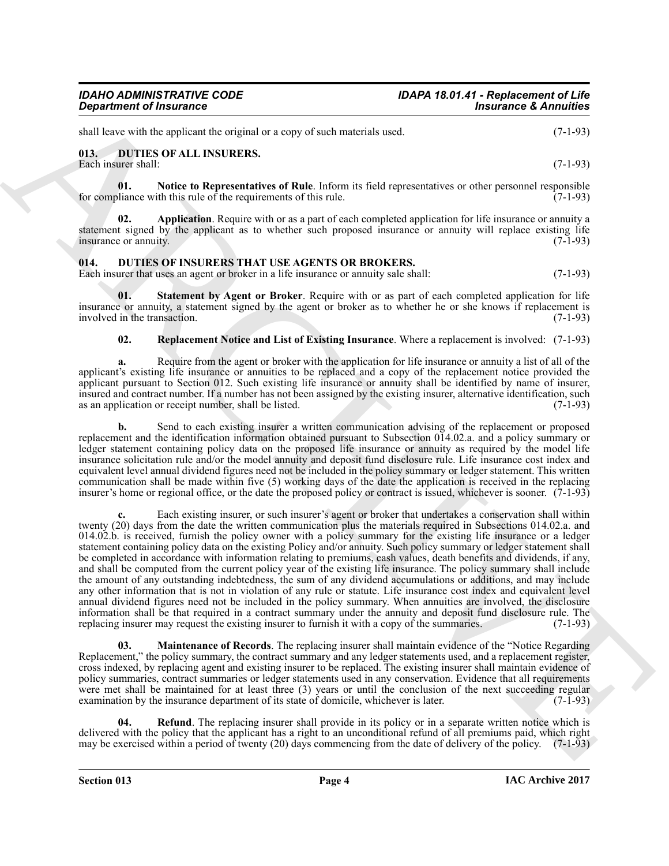shall leave with the applicant the original or a copy of such materials used. (7-1-93)

## <span id="page-3-2"></span><span id="page-3-0"></span>**013. DUTIES OF ALL INSURERS.**

Each insurer shall: (7-1-93)

<span id="page-3-4"></span>**01.** Notice to Representatives of Rule. Inform its field representatives or other personnel responsible bliance with this rule of the requirements of this rule. (7-1-93) for compliance with this rule of the requirements of this rule.

<span id="page-3-3"></span>**02. Application**. Require with or as a part of each completed application for life insurance or annuity a statement signed by the applicant as to whether such proposed insurance or annuity will replace existing life insurance or annuity. (7-1-93) insurance or annuity.

## <span id="page-3-5"></span><span id="page-3-1"></span>**014. DUTIES OF INSURERS THAT USE AGENTS OR BROKERS.**

Each insurer that uses an agent or broker in a life insurance or annuity sale shall: (7-1-93)

**01. Statement by Agent or Broker**. Require with or as part of each completed application for life insurance or annuity, a statement signed by the agent or broker as to whether he or she knows if replacement is involved in the transaction. (7-1-93) involved in the transaction.

## <span id="page-3-9"></span><span id="page-3-8"></span>**02. Replacement Notice and List of Existing Insurance**. Where a replacement is involved: (7-1-93)

**a.** Require from the agent or broker with the application for life insurance or annuity a list of all of the applicant's existing life insurance or annuities to be replaced and a copy of the replacement notice provided the applicant pursuant to Section 012. Such existing life insurance or annuity shall be identified by name of insurer, insured and contract number. If a number has not been assigned by the existing insurer, alternative identification, such as an application or receipt number, shall be listed. (7-1-93) as an application or receipt number, shall be listed.

**b.** Send to each existing insurer a written communication advising of the replacement or proposed replacement and the identification information obtained pursuant to Subsection 014.02.a. and a policy summary or ledger statement containing policy data on the proposed life insurance or annuity as required by the model life insurance solicitation rule and/or the model annuity and deposit fund disclosure rule. Life insurance cost index and equivalent level annual dividend figures need not be included in the policy summary or ledger statement. This written communication shall be made within five (5) working days of the date the application is received in the replacing insurer's home or regional office, or the date the proposed policy or contract is issued, whichever is sooner. (7-1-93)

*Great rise of Americanse Control in a security of excited and security and the security of Americanse Control in the Control in the Control in the Control in the Control in the Control in the Control in the Control in t* **c.** Each existing insurer, or such insurer's agent or broker that undertakes a conservation shall within twenty (20) days from the date the written communication plus the materials required in Subsections 014.02.a. and 014.02.b. is received, furnish the policy owner with a policy summary for the existing life insurance or a ledger statement containing policy data on the existing Policy and/or annuity. Such policy summary or ledger statement shall be completed in accordance with information relating to premiums, cash values, death benefits and dividends, if any, and shall be computed from the current policy year of the existing life insurance. The policy summary shall include the amount of any outstanding indebtedness, the sum of any dividend accumulations or additions, and may include any other information that is not in violation of any rule or statute. Life insurance cost index and equivalent level annual dividend figures need not be included in the policy summary. When annuities are involved, the disclosure information shall be that required in a contract summary under the annuity and deposit fund disclosure rule. The replacing insurer may request the existing insurer to furnish it with a copy of the summaries. (7-1-93) replacing insurer may request the existing insurer to furnish it with a copy of the summaries.

<span id="page-3-6"></span>**Maintenance of Records**. The replacing insurer shall maintain evidence of the "Notice Regarding" Replacement," the policy summary, the contract summary and any ledger statements used, and a replacement register, cross indexed, by replacing agent and existing insurer to be replaced. The existing insurer shall maintain evidence of policy summaries, contract summaries or ledger statements used in any conservation. Evidence that all requirements were met shall be maintained for at least three (3) years or until the conclusion of the next succeeding regular examination by the insurance department of its state of domicile, whichever is later. (7-1-93) examination by the insurance department of its state of domicile, whichever is later.

<span id="page-3-7"></span>**04. Refund**. The replacing insurer shall provide in its policy or in a separate written notice which is delivered with the policy that the applicant has a right to an unconditional refund of all premiums paid, which right may be exercised within a period of twenty (20) days commencing from the date of delivery of the policy. (7-1-93)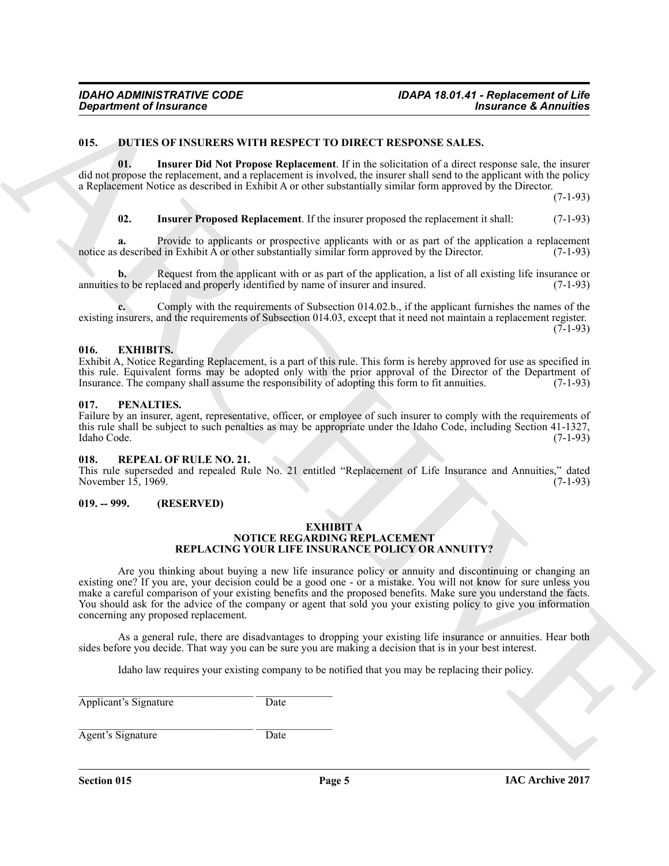## <span id="page-4-5"></span><span id="page-4-0"></span>**015. DUTIES OF INSURERS WITH RESPECT TO DIRECT RESPONSE SALES.**

**01. Insurer Did Not Propose Replacement**. If in the solicitation of a direct response sale, the insurer did not propose the replacement, and a replacement is involved, the insurer shall send to the applicant with the policy a Replacement Notice as described in Exhibit A or other substantially similar form approved by the Director.

(7-1-93)

#### <span id="page-4-7"></span><span id="page-4-6"></span>**02. Insurer Proposed Replacement**. If the insurer proposed the replacement it shall: (7-1-93)

**a.** Provide to applicants or prospective applicants with or as part of the application a replacement described in Exhibit A or other substantially similar form approved by the Director. (7-1-93) notice as described in Exhibit  $\hat{A}$  or other substantially similar form approved by the Director.

**b.** Request from the applicant with or as part of the application, a list of all existing life insurance or annuities to be replaced and properly identified by name of insurer and insured. (7-1-93)

**c.** Comply with the requirements of Subsection 014.02.b., if the applicant furnishes the names of the existing insurers, and the requirements of Subsection 014.03, except that it need not maintain a replacement register.  $(7-1-93)$ 

## <span id="page-4-1"></span>**016. EXHIBITS.**

Exhibit A, Notice Regarding Replacement, is a part of this rule. This form is hereby approved for use as specified in this rule. Equivalent forms may be adopted only with the prior approval of the Director of the Department of Insurance. The company shall assume the responsibility of adopting this form to fit annuities. (7-1-93) Insurance. The company shall assume the responsibility of adopting this form to fit annuities.

#### <span id="page-4-2"></span>**017. PENALTIES.**

Failure by an insurer, agent, representative, officer, or employee of such insurer to comply with the requirements of this rule shall be subject to such penalties as may be appropriate under the Idaho Code, including Section 41-1327, Idaho Code. (7-1-93) Idaho Code. (7-1-93)

#### <span id="page-4-3"></span>**018. REPEAL OF RULE NO. 21.**

This rule superseded and repealed Rule No. 21 entitled "Replacement of Life Insurance and Annuities," dated November 15, 1969.

## <span id="page-4-4"></span>**019. -- 999. (RESERVED)**

#### <span id="page-4-8"></span>**EXHIBIT A NOTICE REGARDING REPLACEMENT REPLACING YOUR LIFE INSURANCE POLICY OR ANNUITY?**

*Department of Insurance*<br> **U.S. DETEXTIVEN WITH IRENEVATE DIRECT TO DIRECT REPORTS ALLES AND RESOLUTION AND RESOLUTION (BEEN INSURANCE POLICY) CONSULTION (BEEN INSURANCE POLICY) CONSULTION (BEEN INSURANCE POLICY) CONSU** Are you thinking about buying a new life insurance policy or annuity and discontinuing or changing an existing one? If you are, your decision could be a good one - or a mistake. You will not know for sure unless you make a careful comparison of your existing benefits and the proposed benefits. Make sure you understand the facts. You should ask for the advice of the company or agent that sold you your existing policy to give you information concerning any proposed replacement.

As a general rule, there are disadvantages to dropping your existing life insurance or annuities. Hear both sides before you decide. That way you can be sure you are making a decision that is in your best interest.

Idaho law requires your existing company to be notified that you may be replacing their policy.

 $\_$  ,  $\_$  ,  $\_$  ,  $\_$  ,  $\_$  ,  $\_$  ,  $\_$  ,  $\_$  ,  $\_$  ,  $\_$  ,  $\_$  ,  $\_$  ,  $\_$  ,  $\_$  ,  $\_$ Applicant's Signature Date

 $\_$  ,  $\_$  ,  $\_$  ,  $\_$  ,  $\_$  ,  $\_$  ,  $\_$  ,  $\_$  ,  $\_$  ,  $\_$  ,  $\_$  ,  $\_$  ,  $\_$  ,  $\_$  ,  $\_$ Agent's Signature Date

**Section 015 Page 5**